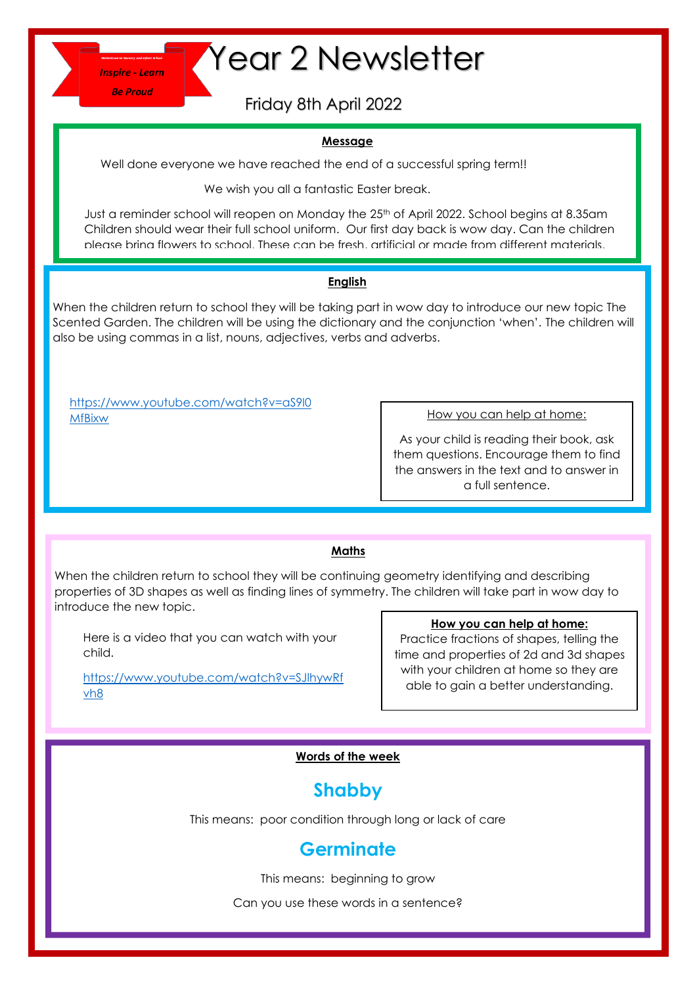**Be Proud** 

# **Thepire-Learn Year 2 Newsletter**

Friday 8th April 2022

#### **Message**

Well done everyone we have reached the end of a successful spring term!!

We wish you all a fantastic Easter break.

Just a reminder school will reopen on Monday the 25<sup>th</sup> of April 2022. School begins at 8.35am Children should wear their full school uniform. Our first day back is wow day. Can the children please bring flowers to school. These can be fresh, artificial or made from different materials.

#### **English**

When the children return to school they will be taking part in wow day to introduce our new topic The Scented Garden. The children will be using the dictionary and the conjunction 'when'. The children will also be using commas in a list, nouns, adjectives, verbs and adverbs.

[https://www.youtube.com/watch?v=aS9l0](https://www.youtube.com/watch?v=aS9l0MfBixw) **[MfBixw](https://www.youtube.com/watch?v=aS9l0MfBixw)** 

How you can help at home:

As your child is reading their book, ask them questions. Encourage them to find the answers in the text and to answer in a full sentence.

### **Maths**

When the children return to school they will be continuing geometry identifying and describing properties of 3D shapes as well as finding lines of symmetry. The children will take part in wow day to introduce the new topic.

Here is a video that you can watch with your child.

[https://www.youtube.com/watch?v=SJlhywRf](https://www.youtube.com/watch?v=SJlhywRfvh8) [vh8](https://www.youtube.com/watch?v=SJlhywRfvh8)

#### **How you can help at home:**

Practice fractions of shapes, telling the time and properties of 2d and 3d shapes with your children at home so they are able to gain a better understanding.

#### **Words of the week**

## **Shabby**

This means: poor condition through long or lack of care

## **Germinate**

This means: beginning to grow

Can you use these words in a sentence?